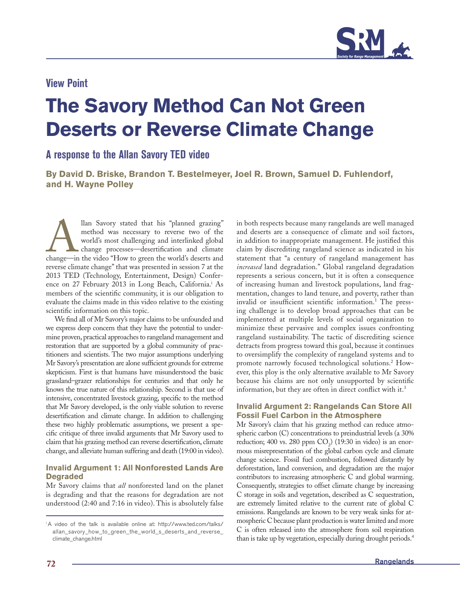**View Point**

# **The Savory Method Can Not Green Deserts or Reverse Climate Change**

# **A response to the Allan Savory TED video**

**By David D. Briske, Brandon T. Bestelmeyer, Joel R. Brown, Samuel D. Fuhlendorf, and H. Wayne Polley**

Han Savory stated that his "planned grazing" method was necessary to reverse two of the world's most challenging and interlinked global change—in the video "How to green the world's deserts and method was necessary to reverse two of the world's most challenging and interlinked global change processes—desertification and climate reverse climate change" that was presented in session 7 at the 2013 TED (Technology, Entertainment, Design) Conference on 27 February 2013 in Long Beach, California.<sup>i</sup> As members of the scientific community, it is our obligation to evaluate the claims made in this video relative to the existing scientific information on this topic.

We find all of Mr Savory's major claims to be unfounded and we express deep concern that they have the potential to undermine proven, practical approaches to rangeland management and restoration that are supported by a global community of practitioners and scientists. The two major assumptions underlying Mr Savory's presentation are alone sufficient grounds for extreme skepticism. First is that humans have misunderstood the basic grassland–grazer relationships for centuries and that only he knows the true nature of this relationship. Second is that use of intensive, concentrated livestock grazing, specific to the method that Mr Savory developed, is the only viable solution to reverse desertification and climate change. In addition to challenging these two highly problematic assumptions, we present a specific critique of three invalid arguments that Mr Savory used to claim that his grazing method can reverse desertification, climate change, and alleviate human suffering and death (19:00 in video).

### **Invalid Argument 1: All Nonforested Lands Are Degraded**

Mr Savory claims that *all* nonforested land on the planet is degrading and that the reasons for degradation are not understood (2:40 and 7:16 in video). This is absolutely false

in both respects because many rangelands are well managed and deserts are a consequence of climate and soil factors, in addition to inappropriate management. He justified this claim by discrediting rangeland science as indicated in his statement that "a century of rangeland management has *increased* land degradation." Global rangeland degradation represents a serious concern, but it is often a consequence of increasing human and livestock populations, land fragmentation, changes to land tenure, and poverty, rather than invalid or insufficient scientific information.1 The pressing challenge is to develop broad approaches that can be implemented at multiple levels of social organization to minimize these pervasive and complex issues confronting rangeland sustainability. The tactic of discrediting science detracts from progress toward this goal, because it continues to oversimplify the complexity of rangeland systems and to promote narrowly focused technological solutions.<sup>2</sup> However, this ploy is the only alternative available to Mr Savory because his claims are not only unsupported by scientific information, but they are often in direct conflict with it.<sup>3</sup>

## **Invalid Argument 2: Rangelands Can Store All Fossil Fuel Carbon in the Atmosphere**

Mr Savory's claim that his grazing method can reduce atmospheric carbon (C) concentrations to preindustrial levels (a 30% reduction; 400 vs. 280 ppm  $\text{CO}_2$ ) (19:30 in video) is an enormous misrepresentation of the global carbon cycle and climate change science. Fossil fuel combustion, followed distantly by deforestation, land conversion, and degradation are the major contributors to increasing atmospheric C and global warming. Consequently, strategies to offset climate change by increasing C storage in soils and vegetation, described as C sequestration, are extremely limited relative to the current rate of global C emissions. Rangelands are known to be very weak sinks for atmospheric C because plant production is water limited and more C is often released into the atmosphere from soil respiration than is take up by vegetation, especially during drought periods.4

i A video of the talk is available online at: http://www.ted.com/talks/ allan\_savory\_how\_to\_green\_the\_world\_s\_deserts\_and\_reverse\_ climate\_change.html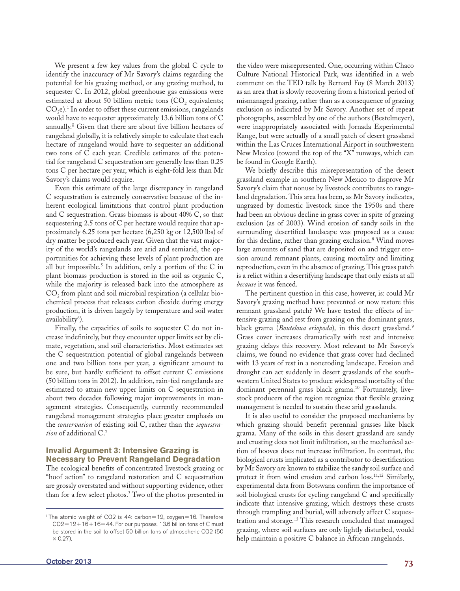We present a few key values from the global C cycle to identify the inaccuracy of Mr Savory's claims regarding the potential for his grazing method, or any grazing method, to sequester C. In 2012, global greenhouse gas emissions were estimated at about 50 billion metric tons  $(CO,$  equivalents;  $CO<sub>2</sub>e$ ).<sup>1</sup> In order to offset these current emissions, rangelands would have to sequester approximately 13.6 billion tons of C annually.<sup>ii</sup> Given that there are about five billion hectares of rangeland globally, it is relatively simple to calculate that each hectare of rangeland would have to sequester an additional two tons of C each year. Credible estimates of the potential for rangeland C sequestration are generally less than 0.25 tons C per hectare per year, which is eight-fold less than Mr Savory's claims would require.

Even this estimate of the large discrepancy in rangeland C sequestration is extremely conservative because of the inherent ecological limitations that control plant production and C sequestration. Grass biomass is about 40% C, so that sequestering 2.5 tons of C per hectare would require that approximately 6.25 tons per hectare (6,250 kg or 12,500 lbs) of dry matter be produced each year. Given that the vast majority of the world's rangelands are arid and semiarid, the opportunities for achieving these levels of plant production are all but impossible.<sup>5</sup> In addition, only a portion of the C in plant biomass production is stored in the soil as organic C, while the majority is released back into the atmosphere as  $CO<sub>2</sub>$  from plant and soil microbial respiration (a cellular biochemical process that releases carbon dioxide during energy production, it is driven largely by temperature and soil water availability<sup>6</sup>).

Finally, the capacities of soils to sequester C do not increase indefinitely, but they encounter upper limits set by climate, vegetation, and soil characteristics. Most estimates set the C sequestration potential of global rangelands between one and two billion tons per year, a significant amount to be sure, but hardly sufficient to offset current C emissions (50 billion tons in 2012). In addition, rain-fed rangelands are estimated to attain new upper limits on C sequestration in about two decades following major improvements in management strategies. Consequently, currently recommended rangeland management strategies place greater emphasis on the *conservation* of existing soil C, rather than the *sequestration* of additional C.7

#### **Invalid Argument 3: Intensive Grazing is Necessary to Prevent Rangeland Degradation**

The ecological benefits of concentrated livestock grazing or "hoof action" to rangeland restoration and C sequestration are grossly overstated and without supporting evidence, other than for a few select photos.3 Two of the photos presented in the video were misrepresented. One, occurring within Chaco Culture National Historical Park, was identified in a web comment on the TED talk by Bernard Foy (8 March 2013) as an area that is slowly recovering from a historical period of mismanaged grazing, rather than as a consequence of grazing exclusion as indicated by Mr Savory. Another set of repeat photographs, assembled by one of the authors (Bestelmeyer), were inappropriately associated with Jornada Experimental Range, but were actually of a small patch of desert grassland within the Las Cruces International Airport in southwestern New Mexico (toward the top of the "X" runways, which can be found in Google Earth).

We briefly describe this misrepresentation of the desert grassland example in southern New Mexico to disprove Mr Savory's claim that nonuse by livestock contributes to rangeland degradation. This area has been, as Mr Savory indicates, ungrazed by domestic livestock since the 1950s and there had been an obvious decline in grass cover in spite of grazing exclusion (as of 2003). Wind erosion of sandy soils in the surrounding desertified landscape was proposed as a cause for this decline, rather than grazing exclusion.<sup>8</sup> Wind moves large amounts of sand that are deposited on and trigger erosion around remnant plants, causing mortality and limiting reproduction, even in the absence of grazing. This grass patch is a relict within a desertifying landscape that only exists at all *because* it was fenced.

The pertinent question in this case, however, is: could Mr Savory's grazing method have prevented or now restore this remnant grassland patch? We have tested the effects of intensive grazing and rest from grazing on the dominant grass, black grama (*Bouteloua eriopoda*), in this desert grassland.<sup>9</sup> Grass cover increases dramatically with rest and intensive grazing delays this recovery. Most relevant to Mr Savory's claims, we found no evidence that grass cover had declined with 13 years of rest in a noneroding landscape. Erosion and drought can act suddenly in desert grasslands of the southwestern United States to produce widespread mortality of the dominant perennial grass black grama.<sup>10</sup> Fortunately, livestock producers of the region recognize that flexible grazing management is needed to sustain these arid grasslands.

It is also useful to consider the proposed mechanisms by which grazing should benefit perennial grasses like black grama. Many of the soils in this desert grassland are sandy and crusting does not limit infiltration, so the mechanical action of hooves does not increase infiltration. In contrast, the biological crusts implicated as a contributor to desertification by Mr Savory are known to stabilize the sandy soil surface and protect it from wind erosion and carbon loss.<sup>11,12</sup> Similarly, experimental data from Botswana confirm the importance of soil biological crusts for cycling rangeland C and specifically indicate that intensive grazing, which destroys these crusts through trampling and burial, will adversely affect C sequestration and storage.13 This research concluded that managed grazing, where soil surfaces are only lightly disturbed, would help maintain a positive C balance in African rangelands.

<sup>&</sup>lt;sup>ii</sup> The atomic weight of CO2 is 44: carbon=12, oxygen=16. Therefore  $CO2=12+16+16=44$ . For our purposes, 13.6 billion tons of C must be stored in the soil to offset 50 billion tons of atmospheric CO2 (50  $\times$  0.27).